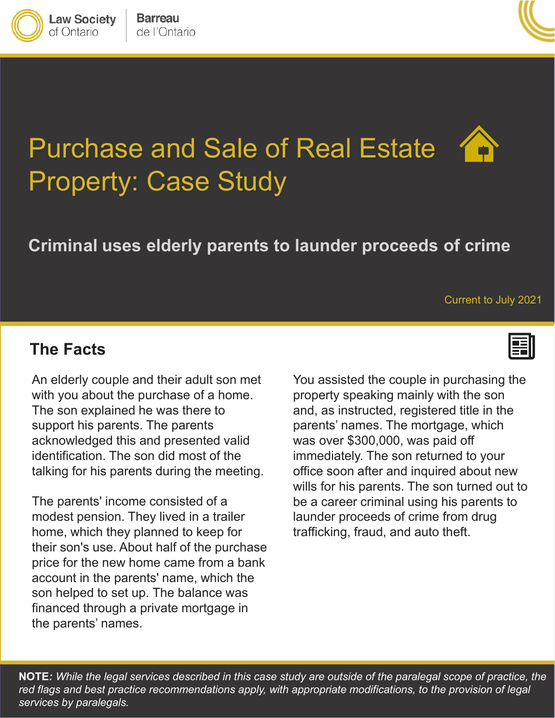



# Purchase and Sale of Real Estate Property: Case Study

# **Criminal uses elderly parents to launder proceeds of crime**

#### Current to July 2021

#### **The Facts**

**Law Society** of Ontario

An elderly couple and their adult son met with you about the purchase of a home. The son explained he was there to support his parents. The parents acknowledged this and presented valid identification. The son did most of the talking for his parents during the meeting.

The parents' income consisted of a modest pension. They lived in a trailer home, which they planned to keep for their son's use. About half of the purchase price for the new home came from a bank account in the parents' name, which the son helped to set up. The balance was financed through a private mortgage in the parents' names.

You assisted the couple in purchasing the property speaking mainly with the son and, as instructed, registered title in the parents' names. The mortgage, which was over \$300,000, was paid off immediately. The son returned to your office soon after and inquired about new wills for his parents. The son turned out to be a career criminal using his parents to launder proceeds of crime from drug trafficking, fraud, and auto theft.

**NOTE***: While the legal services described in this case study are outside of the paralegal scope of practice, the red flags and best practice recommendations apply, with appropriate modifications, to the provision of legal services by paralegals.*

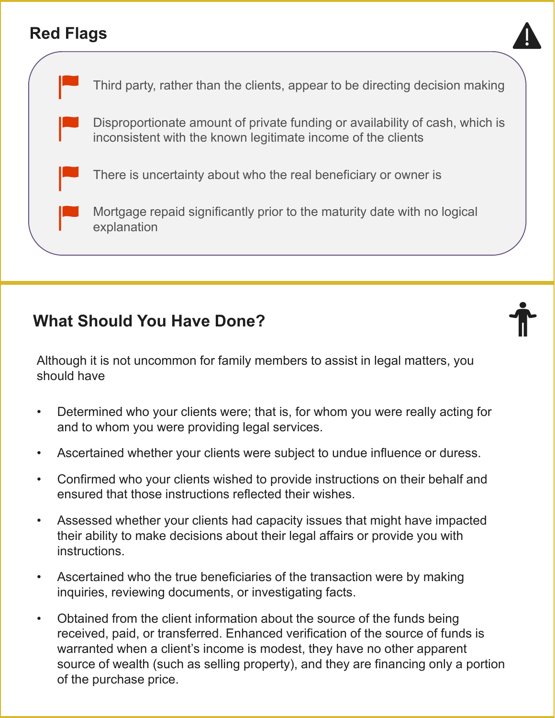### **Red Flags**



Third party, rather than the clients, appear to be directing decision making Disproportionate amount of private funding or availability of cash, which is inconsistent with the known legitimate income of the clients There is uncertainty about who the real beneficiary or owner is Mortgage repaid significantly prior to the maturity date with no logical explanation

### **What Should You Have Done?**

Although it is not uncommon for family members to assist in legal matters, you should have

- Determined who your clients were; that is, for whom you were really acting for and to whom you were providing legal services.
- Ascertained whether your clients were subject to undue influence or duress.
- Confirmed who your clients wished to provide instructions on their behalf and ensured that those instructions reflected their wishes.
- Assessed whether your clients had capacity issues that might have impacted their ability to make decisions about their legal affairs or provide you with instructions.
- Ascertained who the true beneficiaries of the transaction were by making inquiries, reviewing documents, or investigating facts.
- Obtained from the client information about the source of the funds being received, paid, or transferred. Enhanced verification of the source of funds is warranted when a client's income is modest, they have no other apparent source of wealth (such as selling property), and they are financing only a portion of the purchase price.